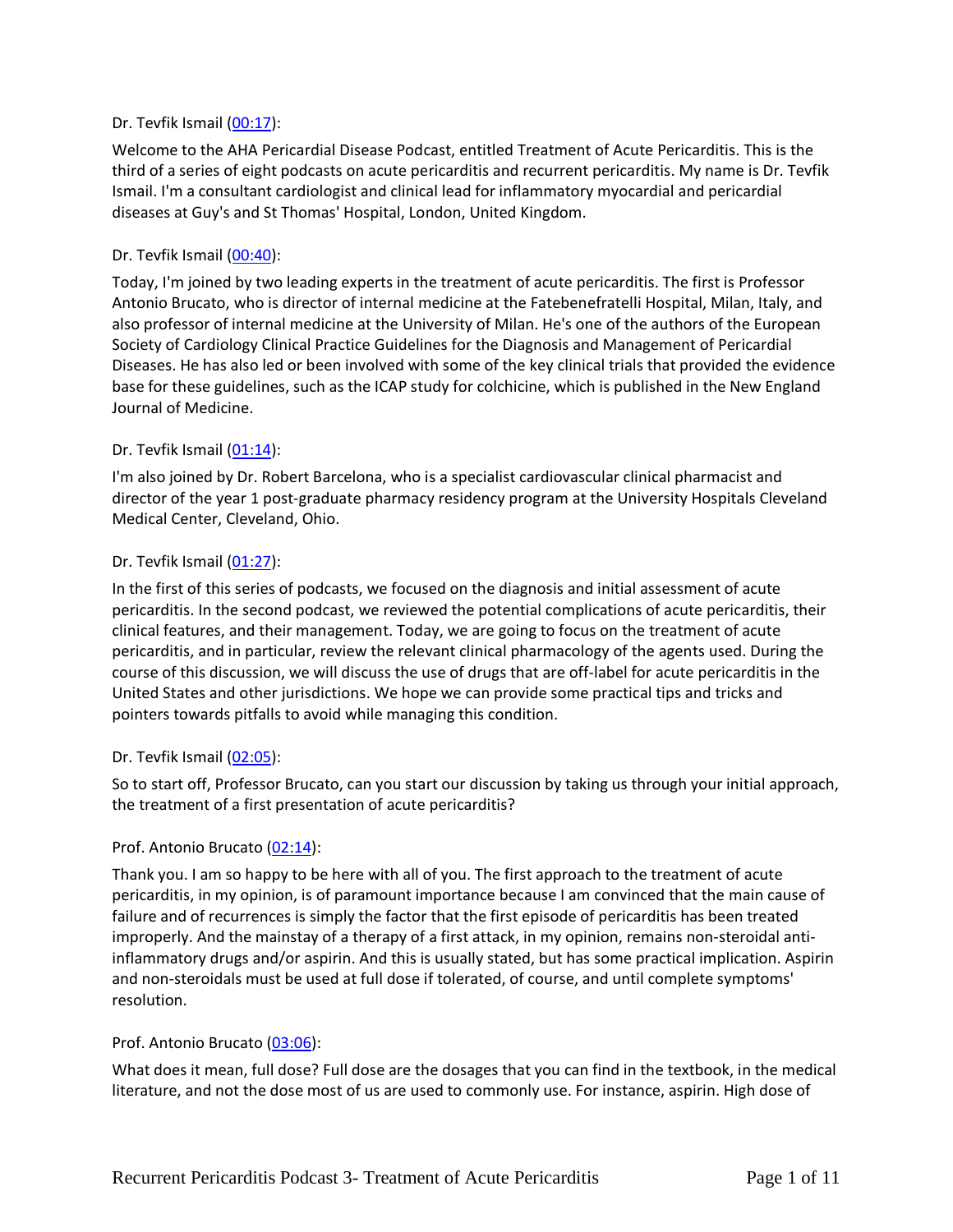## Dr. Tevfik Ismail [\(00:17\)](https://www.rev.com/transcript-editor/Edit?token=TcU9-ohnzNIRokvSzEoRLtDrEkaK5TkazIElt7gZThoEn8QdZQUhCpLwXjwmMwf42LdV3-UonZfFLr7j_A9DO8G1IW8&loadFrom=DocumentDeeplink&ts=17.46):

Welcome to the AHA Pericardial Disease Podcast, entitled Treatment of Acute Pericarditis. This is the third of a series of eight podcasts on acute pericarditis and recurrent pericarditis. My name is Dr. Tevfik Ismail. I'm a consultant cardiologist and clinical lead for inflammatory myocardial and pericardial diseases at Guy's and St Thomas' Hospital, London, United Kingdom.

## Dr. Tevfik Ismail [\(00:40\)](https://www.rev.com/transcript-editor/Edit?token=n_gXL4s3-ztebSDr2jvpR1UNX7k8E3o4szGQ9DjYhYGPUGPeMWzvhNpwtWRLM0EqeBWV1_5RU66UxXqUhXeRLHBYVKo&loadFrom=DocumentDeeplink&ts=40.41):

Today, I'm joined by two leading experts in the treatment of acute pericarditis. The first is Professor Antonio Brucato, who is director of internal medicine at the Fatebenefratelli Hospital, Milan, Italy, and also professor of internal medicine at the University of Milan. He's one of the authors of the European Society of Cardiology Clinical Practice Guidelines for the Diagnosis and Management of Pericardial Diseases. He has also led or been involved with some of the key clinical trials that provided the evidence base for these guidelines, such as the ICAP study for colchicine, which is published in the New England Journal of Medicine.

## Dr. Tevfik Ismail [\(01:14\)](https://www.rev.com/transcript-editor/Edit?token=5RvJ1H0aoHKeJGIpy6MuLJufox9_30LS9GboqjsP9or6S0bZnodXyH35pyPwAYc9G_CiZOJf2UXPqWSWG3Rmd6TQNOA&loadFrom=DocumentDeeplink&ts=74.63):

I'm also joined by Dr. Robert Barcelona, who is a specialist cardiovascular clinical pharmacist and director of the year 1 post-graduate pharmacy residency program at the University Hospitals Cleveland Medical Center, Cleveland, Ohio.

## Dr. Tevfik Ismail [\(01:27\)](https://www.rev.com/transcript-editor/Edit?token=ehUZMlNIkB7sLah3kbxqlG9v-xBZciUbv6FcXuacjzrouSdM773crbLnAHeZDtU-OfA_oUIqWCwxXDi1JPkciAg33tI&loadFrom=DocumentDeeplink&ts=87.88):

In the first of this series of podcasts, we focused on the diagnosis and initial assessment of acute pericarditis. In the second podcast, we reviewed the potential complications of acute pericarditis, their clinical features, and their management. Today, we are going to focus on the treatment of acute pericarditis, and in particular, review the relevant clinical pharmacology of the agents used. During the course of this discussion, we will discuss the use of drugs that are off-label for acute pericarditis in the United States and other jurisdictions. We hope we can provide some practical tips and tricks and pointers towards pitfalls to avoid while managing this condition.

## Dr. Tevfik Ismail [\(02:05\)](https://www.rev.com/transcript-editor/Edit?token=V5xhRXaVcE0D33rHPnJw0QxDSsszbWDMizLGox-zO2J3BC0MbKgefknAZJJ2xR7zH7gqV3PzxXXJNUCM3gK9fxaRfl0&loadFrom=DocumentDeeplink&ts=125.8):

So to start off, Professor Brucato, can you start our discussion by taking us through your initial approach, the treatment of a first presentation of acute pericarditis?

## Prof. Antonio Brucato [\(02:14\)](https://www.rev.com/transcript-editor/Edit?token=_qi9_eEHekNHgtzRfPwI_IylmgPST3A6shWbSui4xSWF7_roPOejBpnFaywnXQ9O0AW02ga8kgz8__droH6VWcqgBCQ&loadFrom=DocumentDeeplink&ts=134.79):

Thank you. I am so happy to be here with all of you. The first approach to the treatment of acute pericarditis, in my opinion, is of paramount importance because I am convinced that the main cause of failure and of recurrences is simply the factor that the first episode of pericarditis has been treated improperly. And the mainstay of a therapy of a first attack, in my opinion, remains non-steroidal antiinflammatory drugs and/or aspirin. And this is usually stated, but has some practical implication. Aspirin and non-steroidals must be used at full dose if tolerated, of course, and until complete symptoms' resolution.

## Prof. Antonio Brucato [\(03:06\)](https://www.rev.com/transcript-editor/Edit?token=ZAFDr1dHRdcZojboTGSPgJOntEMSKB2gRPISXFkPuyisiF6_N4jVTKJnOI3HhK9kmSAr8py5jnncHP3fPqt4_hygw-o&loadFrom=DocumentDeeplink&ts=186.73):

What does it mean, full dose? Full dose are the dosages that you can find in the textbook, in the medical literature, and not the dose most of us are used to commonly use. For instance, aspirin. High dose of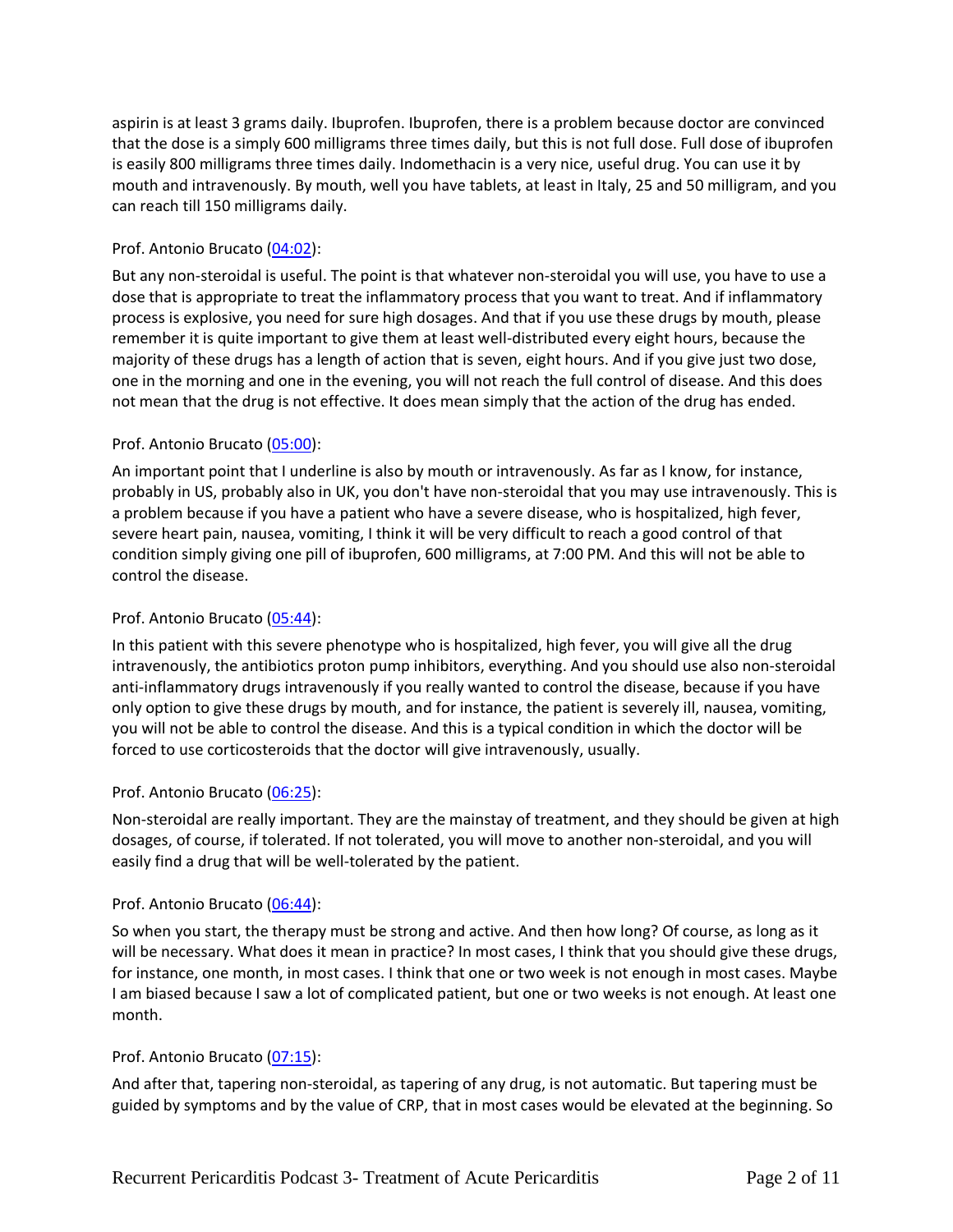aspirin is at least 3 grams daily. Ibuprofen. Ibuprofen, there is a problem because doctor are convinced that the dose is a simply 600 milligrams three times daily, but this is not full dose. Full dose of ibuprofen is easily 800 milligrams three times daily. Indomethacin is a very nice, useful drug. You can use it by mouth and intravenously. By mouth, well you have tablets, at least in Italy, 25 and 50 milligram, and you can reach till 150 milligrams daily.

# Prof. Antonio Brucato [\(04:02\)](https://www.rev.com/transcript-editor/Edit?token=xgYT6-zLKR6hObXkLNTuyvS-RFc-nacZ-MKJJ_myWITd89_PuPXa7211LZZYU9fq2enTV0LTponYGtSSJYxPKILlRi4&loadFrom=DocumentDeeplink&ts=242.13):

But any non-steroidal is useful. The point is that whatever non-steroidal you will use, you have to use a dose that is appropriate to treat the inflammatory process that you want to treat. And if inflammatory process is explosive, you need for sure high dosages. And that if you use these drugs by mouth, please remember it is quite important to give them at least well-distributed every eight hours, because the majority of these drugs has a length of action that is seven, eight hours. And if you give just two dose, one in the morning and one in the evening, you will not reach the full control of disease. And this does not mean that the drug is not effective. It does mean simply that the action of the drug has ended.

# Prof. Antonio Brucato [\(05:00\)](https://www.rev.com/transcript-editor/Edit?token=HRJMtnnHuhCFugH5TudyPutqHpVnuYHuNxbBv3AzNaz6dAs658mHToE40Hsl7kBYckr8aRPZQvt3ZaQ14tStYrCQA8E&loadFrom=DocumentDeeplink&ts=300.76):

An important point that I underline is also by mouth or intravenously. As far as I know, for instance, probably in US, probably also in UK, you don't have non-steroidal that you may use intravenously. This is a problem because if you have a patient who have a severe disease, who is hospitalized, high fever, severe heart pain, nausea, vomiting, I think it will be very difficult to reach a good control of that condition simply giving one pill of ibuprofen, 600 milligrams, at 7:00 PM. And this will not be able to control the disease.

## Prof. Antonio Brucato [\(05:44\)](https://www.rev.com/transcript-editor/Edit?token=WQdawQbgZ14kb9Y1jnZQc1lO0cLx1-mIooqlla4vwBLkvdySaC5btYHuYDdfMKAO-W0VokXVSc3Hf-UuwaobQh5di8U&loadFrom=DocumentDeeplink&ts=344.25):

In this patient with this severe phenotype who is hospitalized, high fever, you will give all the drug intravenously, the antibiotics proton pump inhibitors, everything. And you should use also non-steroidal anti-inflammatory drugs intravenously if you really wanted to control the disease, because if you have only option to give these drugs by mouth, and for instance, the patient is severely ill, nausea, vomiting, you will not be able to control the disease. And this is a typical condition in which the doctor will be forced to use corticosteroids that the doctor will give intravenously, usually.

## Prof. Antonio Brucato [\(06:25\)](https://www.rev.com/transcript-editor/Edit?token=Uy9GFaMtJ23SnWVtvxz6hFmKEDhsaj_68F7W5vG23Z4HhRnYbHM34S9ZKXWhp1I-olHXp74bdu3_1fx4Sluol2zjJbM&loadFrom=DocumentDeeplink&ts=385.02):

Non-steroidal are really important. They are the mainstay of treatment, and they should be given at high dosages, of course, if tolerated. If not tolerated, you will move to another non-steroidal, and you will easily find a drug that will be well-tolerated by the patient.

## Prof. Antonio Brucato [\(06:44\)](https://www.rev.com/transcript-editor/Edit?token=wkdDoX42ZdQICeU34fwFCsnIDhTRhrlFlqEbklQCCQ4hdcWSoVwz_zIJBaT3gWdHoZKB6jncb8C1eR-gAKCaYD6w2rc&loadFrom=DocumentDeeplink&ts=404.62):

So when you start, the therapy must be strong and active. And then how long? Of course, as long as it will be necessary. What does it mean in practice? In most cases, I think that you should give these drugs, for instance, one month, in most cases. I think that one or two week is not enough in most cases. Maybe I am biased because I saw a lot of complicated patient, but one or two weeks is not enough. At least one month.

## Prof. Antonio Brucato [\(07:15\)](https://www.rev.com/transcript-editor/Edit?token=du20Vw5EdKqlnFyir4JILwYhdfWptYIcZKjFyFGolGIPRmN_AFYQy2zmUp8SD9rcMQ6sw1PIdi3fxVvvIlCDJKDkGik&loadFrom=DocumentDeeplink&ts=435.91):

And after that, tapering non-steroidal, as tapering of any drug, is not automatic. But tapering must be guided by symptoms and by the value of CRP, that in most cases would be elevated at the beginning. So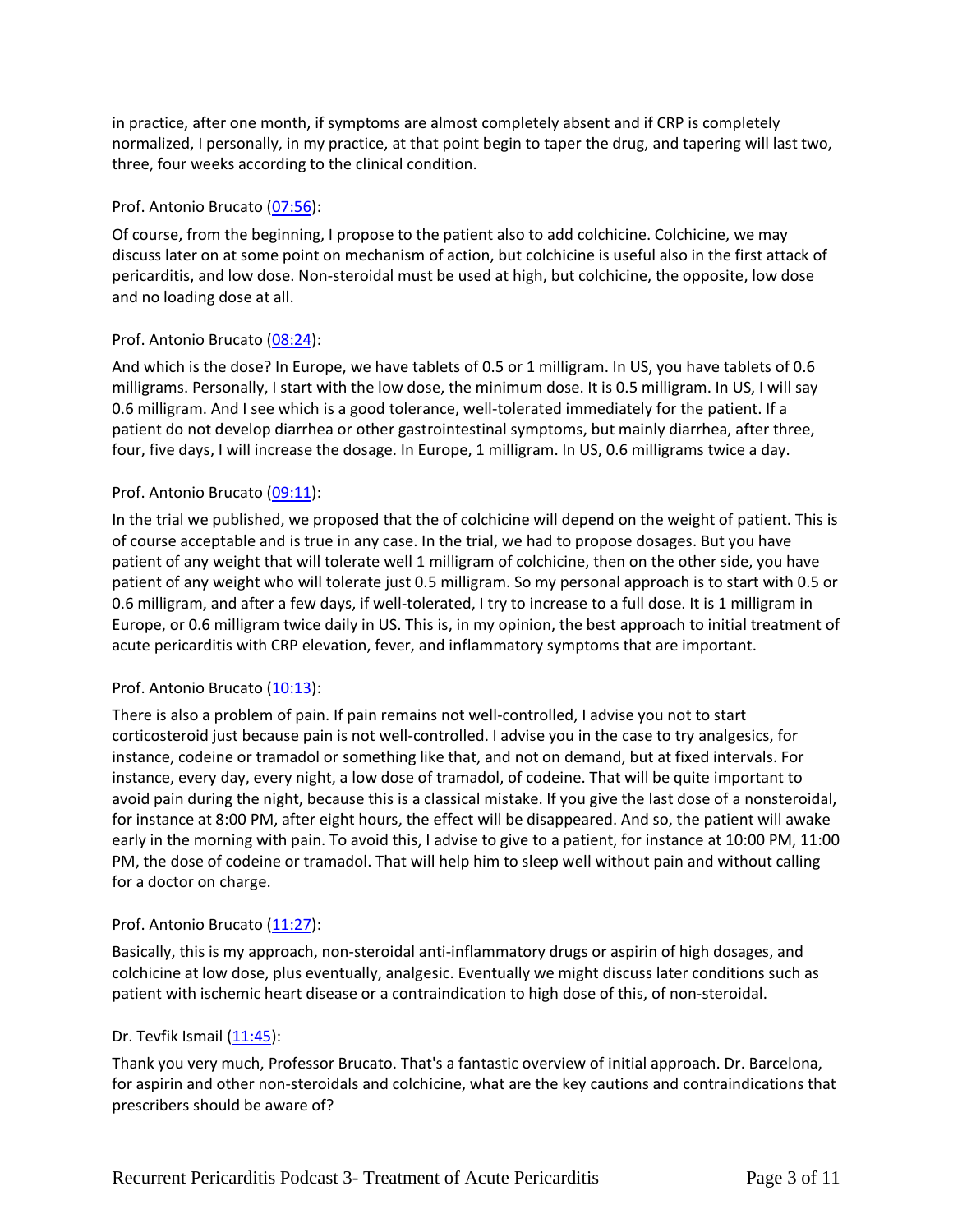in practice, after one month, if symptoms are almost completely absent and if CRP is completely normalized, I personally, in my practice, at that point begin to taper the drug, and tapering will last two, three, four weeks according to the clinical condition.

## Prof. Antonio Brucato [\(07:56\)](https://www.rev.com/transcript-editor/Edit?token=sETDwsjiQHFILsBNgqG4OIGJUgl8ir-YUPhCa1lbKvwC1XNNRSJfNuUnssu29AGsZgkmlF79e2qfWbzOzwEmJNSd8vM&loadFrom=DocumentDeeplink&ts=476.35):

Of course, from the beginning, I propose to the patient also to add colchicine. Colchicine, we may discuss later on at some point on mechanism of action, but colchicine is useful also in the first attack of pericarditis, and low dose. Non-steroidal must be used at high, but colchicine, the opposite, low dose and no loading dose at all.

# Prof. Antonio Brucato [\(08:24\)](https://www.rev.com/transcript-editor/Edit?token=8Di3eSJJhuzMFC-SB6c8SdTnHzVuLhLGfHAaMPzvzIx67LbkiPvXk4Lpy3_rnjV6tO7YoEyFYqjWSD_NFBkhXM_hO-c&loadFrom=DocumentDeeplink&ts=504.35):

And which is the dose? In Europe, we have tablets of 0.5 or 1 milligram. In US, you have tablets of 0.6 milligrams. Personally, I start with the low dose, the minimum dose. It is 0.5 milligram. In US, I will say 0.6 milligram. And I see which is a good tolerance, well-tolerated immediately for the patient. If a patient do not develop diarrhea or other gastrointestinal symptoms, but mainly diarrhea, after three, four, five days, I will increase the dosage. In Europe, 1 milligram. In US, 0.6 milligrams twice a day.

# Prof. Antonio Brucato [\(09:11\)](https://www.rev.com/transcript-editor/Edit?token=qvIVtms7ZhFaTfhTQaWKXQq4j3mqAd7kqUfmetUnif1_FEa1nslPGEStl36jpTjfwqPUns49OdaKYdVp4F1APqsQWAo&loadFrom=DocumentDeeplink&ts=551.38):

In the trial we published, we proposed that the of colchicine will depend on the weight of patient. This is of course acceptable and is true in any case. In the trial, we had to propose dosages. But you have patient of any weight that will tolerate well 1 milligram of colchicine, then on the other side, you have patient of any weight who will tolerate just 0.5 milligram. So my personal approach is to start with 0.5 or 0.6 milligram, and after a few days, if well-tolerated, I try to increase to a full dose. It is 1 milligram in Europe, or 0.6 milligram twice daily in US. This is, in my opinion, the best approach to initial treatment of acute pericarditis with CRP elevation, fever, and inflammatory symptoms that are important.

## Prof. Antonio Brucato [\(10:13\)](https://www.rev.com/transcript-editor/Edit?token=LKtqXOjMXlsnuuR655udbL9a9ug96VH3D_l1VKhYkOYvQGSIk6E6_fuf7LnlKEHfEDD5On4snxH4znVGPNDZ9mqN9q8&loadFrom=DocumentDeeplink&ts=613.93):

There is also a problem of pain. If pain remains not well-controlled, I advise you not to start corticosteroid just because pain is not well-controlled. I advise you in the case to try analgesics, for instance, codeine or tramadol or something like that, and not on demand, but at fixed intervals. For instance, every day, every night, a low dose of tramadol, of codeine. That will be quite important to avoid pain during the night, because this is a classical mistake. If you give the last dose of a nonsteroidal, for instance at 8:00 PM, after eight hours, the effect will be disappeared. And so, the patient will awake early in the morning with pain. To avoid this, I advise to give to a patient, for instance at 10:00 PM, 11:00 PM, the dose of codeine or tramadol. That will help him to sleep well without pain and without calling for a doctor on charge.

## Prof. Antonio Brucato [\(11:27\)](https://www.rev.com/transcript-editor/Edit?token=Uwesd518qw87jB5_lNz_liEba24dmJBpDAz7NcsmRTQrgHl3AWsytgCVqeOu7oZsRKZfTpwQ6PupRhmGDf9OVME0Bng&loadFrom=DocumentDeeplink&ts=687.93):

Basically, this is my approach, non-steroidal anti-inflammatory drugs or aspirin of high dosages, and colchicine at low dose, plus eventually, analgesic. Eventually we might discuss later conditions such as patient with ischemic heart disease or a contraindication to high dose of this, of non-steroidal.

## Dr. Tevfik Ismail [\(11:45\)](https://www.rev.com/transcript-editor/Edit?token=rxCzfMO2T6z62Ud5j2oYuWA6rjiRLqplomLkN09QIbqJk2tIf7btsRebkVgtvxcXN8GMmXBTnl0Dfn1A4SjQkOWKsA8&loadFrom=DocumentDeeplink&ts=705.74):

Thank you very much, Professor Brucato. That's a fantastic overview of initial approach. Dr. Barcelona, for aspirin and other non-steroidals and colchicine, what are the key cautions and contraindications that prescribers should be aware of?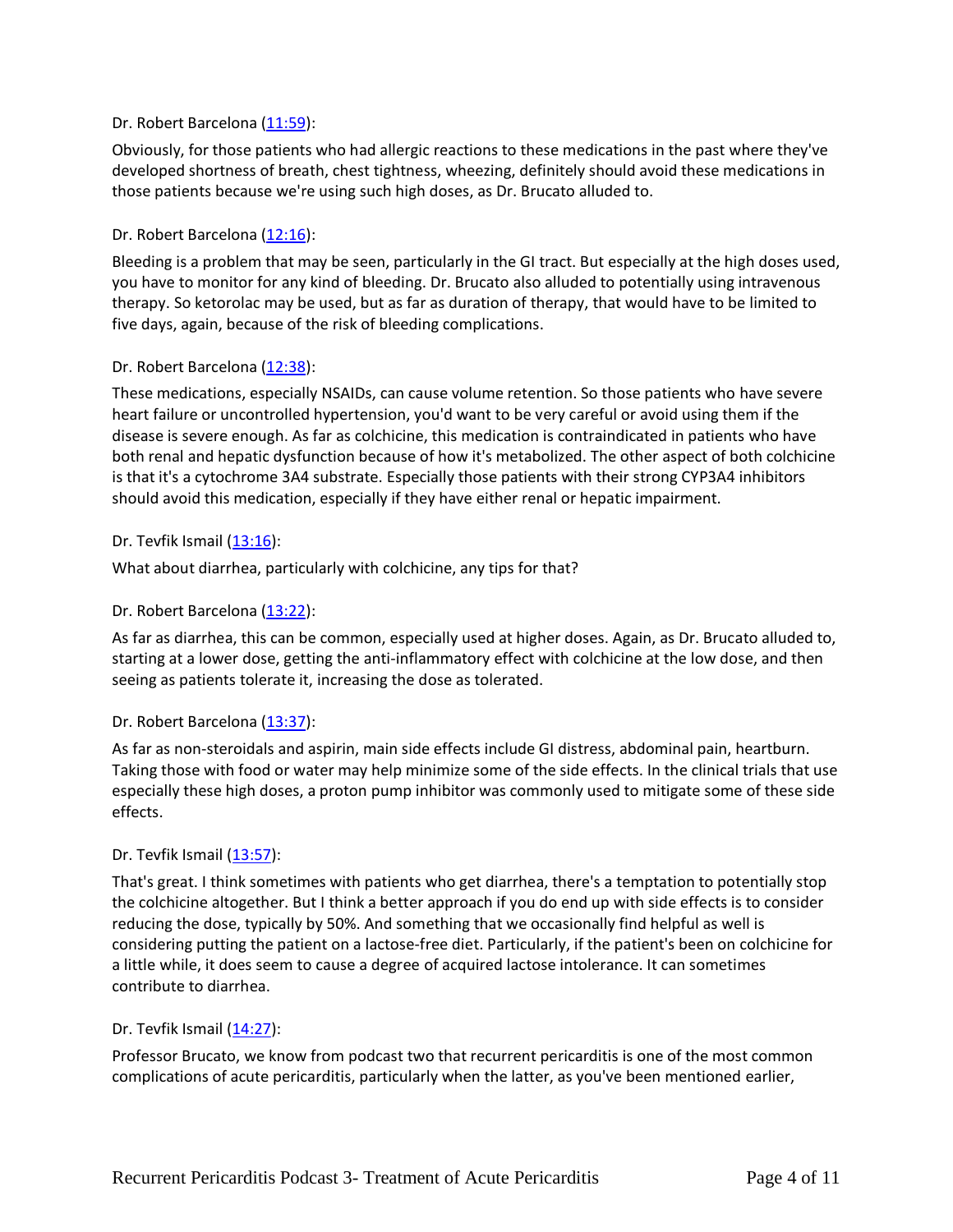## Dr. Robert Barcelona [\(11:59\)](https://www.rev.com/transcript-editor/Edit?token=Bbckp5azW-23eFRmHkZjVqADGC_nJPXLezuRc9Cd9rcNxUim9GlmSTZrWsiMhmrZLHswbtjdS-iVUtqAFTazlskzc-s&loadFrom=DocumentDeeplink&ts=719.37):

Obviously, for those patients who had allergic reactions to these medications in the past where they've developed shortness of breath, chest tightness, wheezing, definitely should avoid these medications in those patients because we're using such high doses, as Dr. Brucato alluded to.

# Dr. Robert Barcelona [\(12:16\)](https://www.rev.com/transcript-editor/Edit?token=-HGAfKNGfQhUmNFWFnG1Cupys2nTVkzcCI08PGcbX5lNqVfVhmJAnMYjfM440qN444GmBFWA-WWPls9LFEF3wASS3Cw&loadFrom=DocumentDeeplink&ts=736.9):

Bleeding is a problem that may be seen, particularly in the GI tract. But especially at the high doses used, you have to monitor for any kind of bleeding. Dr. Brucato also alluded to potentially using intravenous therapy. So ketorolac may be used, but as far as duration of therapy, that would have to be limited to five days, again, because of the risk of bleeding complications.

## Dr. Robert Barcelona [\(12:38\)](https://www.rev.com/transcript-editor/Edit?token=Ya-0n-Q19XhyQK_-HduVpGz4UOpHLn87rrdwV3UHVd6SfXzzkLjWvAvt0J1R7X78tJ0mqM9jU0TNZlBr5KVloDZ0Pqk&loadFrom=DocumentDeeplink&ts=758.96):

These medications, especially NSAIDs, can cause volume retention. So those patients who have severe heart failure or uncontrolled hypertension, you'd want to be very careful or avoid using them if the disease is severe enough. As far as colchicine, this medication is contraindicated in patients who have both renal and hepatic dysfunction because of how it's metabolized. The other aspect of both colchicine is that it's a cytochrome 3A4 substrate. Especially those patients with their strong CYP3A4 inhibitors should avoid this medication, especially if they have either renal or hepatic impairment.

## Dr. Tevfik Ismail [\(13:16\)](https://www.rev.com/transcript-editor/Edit?token=P4UXV8pHQNyzbtyz-A9w9Tt_Gok4rhF89V0vNsMVDo7RsyzUym99I7sm1rAvrKmujoXXT9TaHKwAJUNB9DEBxMhpZus&loadFrom=DocumentDeeplink&ts=796.52):

What about diarrhea, particularly with colchicine, any tips for that?

## Dr. Robert Barcelona [\(13:22\)](https://www.rev.com/transcript-editor/Edit?token=IWxOara8MHm01ml-sGnVgI-KqF2CzF6sTS2WqSBGp8fvZSP_j0UcH6wPBfOuKElLbO8YlVncxuRlO4pd-KdDxzrDeuQ&loadFrom=DocumentDeeplink&ts=802.29):

As far as diarrhea, this can be common, especially used at higher doses. Again, as Dr. Brucato alluded to, starting at a lower dose, getting the anti-inflammatory effect with colchicine at the low dose, and then seeing as patients tolerate it, increasing the dose as tolerated.

## Dr. Robert Barcelona [\(13:37\)](https://www.rev.com/transcript-editor/Edit?token=upFrzeKVfLjjtUK6ziU99mPgILdYh7ejNOD6ylm-Qk_mymrvS_BXXEJ7deJ8yU_w26YGe1ljZJRi7FPXko3p0QsyM48&loadFrom=DocumentDeeplink&ts=817.4):

As far as non-steroidals and aspirin, main side effects include GI distress, abdominal pain, heartburn. Taking those with food or water may help minimize some of the side effects. In the clinical trials that use especially these high doses, a proton pump inhibitor was commonly used to mitigate some of these side effects.

## Dr. Tevfik Ismail [\(13:57\)](https://www.rev.com/transcript-editor/Edit?token=24oXH41Zf-grBEWA-lzrOHWeIZrYuTlmD5A5hsKxAPTIBjJhVanIJx1ygN93TuXkXwD6-QEQlDjY4HHNs4K_vmprecc&loadFrom=DocumentDeeplink&ts=837.89):

That's great. I think sometimes with patients who get diarrhea, there's a temptation to potentially stop the colchicine altogether. But I think a better approach if you do end up with side effects is to consider reducing the dose, typically by 50%. And something that we occasionally find helpful as well is considering putting the patient on a lactose-free diet. Particularly, if the patient's been on colchicine for a little while, it does seem to cause a degree of acquired lactose intolerance. It can sometimes contribute to diarrhea.

## Dr. Tevfik Ismail [\(14:27\)](https://www.rev.com/transcript-editor/Edit?token=cf5-Sgevy3BWkcgm6g-3b8uauvJWLZEamh5D_jqz1NASBRMxfVwWOniHwb94yQdYwHipaEitSfKOjJh6AurHO8l9LLM&loadFrom=DocumentDeeplink&ts=867.62):

Professor Brucato, we know from podcast two that recurrent pericarditis is one of the most common complications of acute pericarditis, particularly when the latter, as you've been mentioned earlier,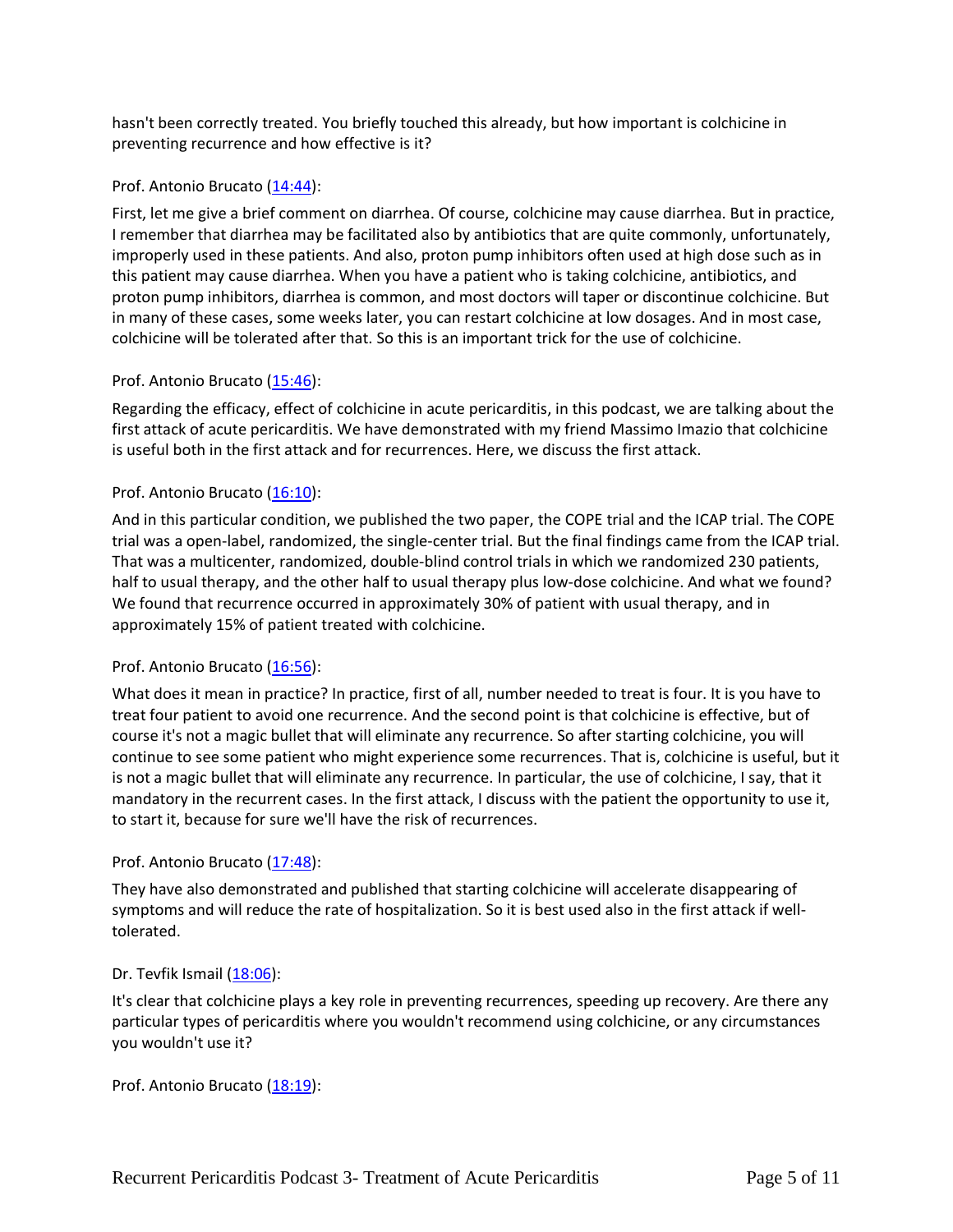hasn't been correctly treated. You briefly touched this already, but how important is colchicine in preventing recurrence and how effective is it?

## Prof. Antonio Brucato [\(14:44\)](https://www.rev.com/transcript-editor/Edit?token=VFo3zKDYl78X6aWb3mbh6hQcITWNXN-UINFrwHorAK3a99SpHfi_TMNZkQd9jTR9lJl_1NUI8-9t-X7GRxY5aLJltXA&loadFrom=DocumentDeeplink&ts=884.95):

First, let me give a brief comment on diarrhea. Of course, colchicine may cause diarrhea. But in practice, I remember that diarrhea may be facilitated also by antibiotics that are quite commonly, unfortunately, improperly used in these patients. And also, proton pump inhibitors often used at high dose such as in this patient may cause diarrhea. When you have a patient who is taking colchicine, antibiotics, and proton pump inhibitors, diarrhea is common, and most doctors will taper or discontinue colchicine. But in many of these cases, some weeks later, you can restart colchicine at low dosages. And in most case, colchicine will be tolerated after that. So this is an important trick for the use of colchicine.

# Prof. Antonio Brucato [\(15:46\)](https://www.rev.com/transcript-editor/Edit?token=NFfK2ui8UOwfIfwRvlRTPo3nFyDiiZfOz9XwfVxa1yubPPVFeieN7_3IAPzNgGpUbOvEpcAP2rdAEYO3K6KmcjV_G64&loadFrom=DocumentDeeplink&ts=946.62):

Regarding the efficacy, effect of colchicine in acute pericarditis, in this podcast, we are talking about the first attack of acute pericarditis. We have demonstrated with my friend Massimo Imazio that colchicine is useful both in the first attack and for recurrences. Here, we discuss the first attack.

# Prof. Antonio Brucato [\(16:10\)](https://www.rev.com/transcript-editor/Edit?token=KE156bO4GTLsLj8IS1M7fVfRO2CIc-gHPIapqiarSfamw4wAYEistGdhQ1qWCm9_u0R9ouNZ7ZVR0GIvZirYGUaEdFY&loadFrom=DocumentDeeplink&ts=970.14):

And in this particular condition, we published the two paper, the COPE trial and the ICAP trial. The COPE trial was a open-label, randomized, the single-center trial. But the final findings came from the ICAP trial. That was a multicenter, randomized, double-blind control trials in which we randomized 230 patients, half to usual therapy, and the other half to usual therapy plus low-dose colchicine. And what we found? We found that recurrence occurred in approximately 30% of patient with usual therapy, and in approximately 15% of patient treated with colchicine.

## Prof. Antonio Brucato [\(16:56\)](https://www.rev.com/transcript-editor/Edit?token=Rrmgz5fysbAG72aGBo9Rx6-vib1VCM53QNRrTaoAS29Y-zUxwUG99gZdYgyXE8ezVw7oW0sLGVwRHnHThH3Wyctd900&loadFrom=DocumentDeeplink&ts=1016.11):

What does it mean in practice? In practice, first of all, number needed to treat is four. It is you have to treat four patient to avoid one recurrence. And the second point is that colchicine is effective, but of course it's not a magic bullet that will eliminate any recurrence. So after starting colchicine, you will continue to see some patient who might experience some recurrences. That is, colchicine is useful, but it is not a magic bullet that will eliminate any recurrence. In particular, the use of colchicine, I say, that it mandatory in the recurrent cases. In the first attack, I discuss with the patient the opportunity to use it, to start it, because for sure we'll have the risk of recurrences.

## Prof. Antonio Brucato [\(17:48\)](https://www.rev.com/transcript-editor/Edit?token=WLvsnDVRyN-7it9Tq58GKTIb8rh5tELj3zvkINZjQ-qjUC9tw0XFrYBeUG8TWGXiuLvFAru-bPVdyGS6qwfPLi623rw&loadFrom=DocumentDeeplink&ts=1068.27):

They have also demonstrated and published that starting colchicine will accelerate disappearing of symptoms and will reduce the rate of hospitalization. So it is best used also in the first attack if welltolerated.

## Dr. Tevfik Ismail [\(18:06\)](https://www.rev.com/transcript-editor/Edit?token=jHPj4z-sNfQI3IJJTyBuJpsWkQos-5ctYVhEx_IMVWIw5L4ciE0osN34hGx8jDt444qehidIMLHiFbqkN70R1XoYuBo&loadFrom=DocumentDeeplink&ts=1086.41):

It's clear that colchicine plays a key role in preventing recurrences, speeding up recovery. Are there any particular types of pericarditis where you wouldn't recommend using colchicine, or any circumstances you wouldn't use it?

Prof. Antonio Brucato [\(18:19\)](https://www.rev.com/transcript-editor/Edit?token=tzY5-7xsbDM9NhjVL7fjDS2JzjkbmxfJdt4XKcr_ljtFqB0EvvKEvGFKNOwsu-4le_wZiz5eOLWzCYXGeEF5ooQ9U7A&loadFrom=DocumentDeeplink&ts=1099.24):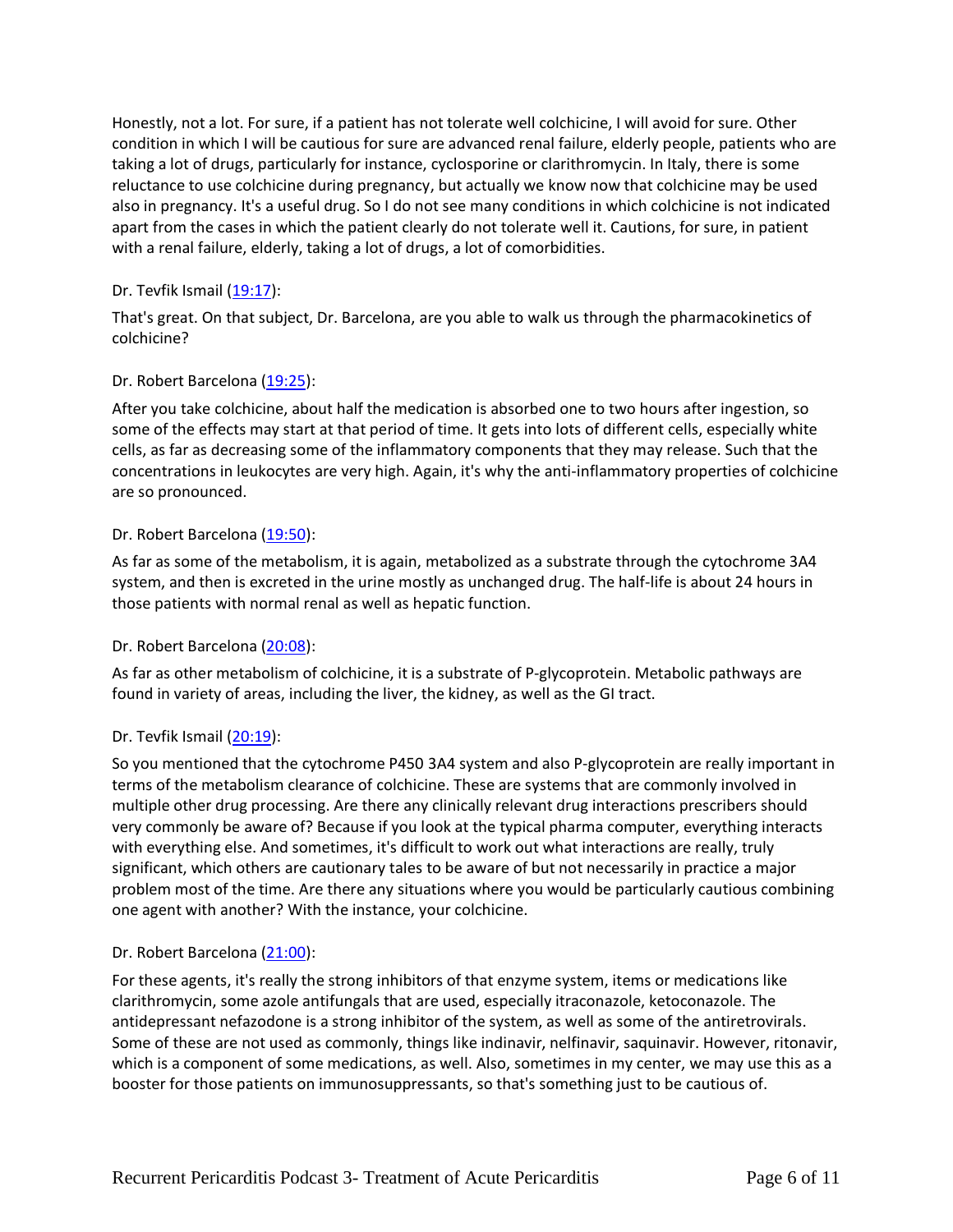Honestly, not a lot. For sure, if a patient has not tolerate well colchicine, I will avoid for sure. Other condition in which I will be cautious for sure are advanced renal failure, elderly people, patients who are taking a lot of drugs, particularly for instance, cyclosporine or clarithromycin. In Italy, there is some reluctance to use colchicine during pregnancy, but actually we know now that colchicine may be used also in pregnancy. It's a useful drug. So I do not see many conditions in which colchicine is not indicated apart from the cases in which the patient clearly do not tolerate well it. Cautions, for sure, in patient with a renal failure, elderly, taking a lot of drugs, a lot of comorbidities.

# Dr. Tevfik Ismail  $(19:17)$ :

That's great. On that subject, Dr. Barcelona, are you able to walk us through the pharmacokinetics of colchicine?

## Dr. Robert Barcelona [\(19:25\)](https://www.rev.com/transcript-editor/Edit?token=AKj3dCueJcbzokhpmCYOOu-N8vxoz-6C9o7FX4ihVt1RPrtlkHwCkGzIfz2NQphhg8HD2vkDMvYXHVT6MN85anOaVoA&loadFrom=DocumentDeeplink&ts=1165.29):

After you take colchicine, about half the medication is absorbed one to two hours after ingestion, so some of the effects may start at that period of time. It gets into lots of different cells, especially white cells, as far as decreasing some of the inflammatory components that they may release. Such that the concentrations in leukocytes are very high. Again, it's why the anti-inflammatory properties of colchicine are so pronounced.

## Dr. Robert Barcelona [\(19:50\)](https://www.rev.com/transcript-editor/Edit?token=1mLCr6Kk74SFwYX_tVeZAOHLRb9bGYVZuTEtgyC88DGgZn8pPZESeyryBz7z9qKcI2UrvNUPznKcI02PjYKQ0lT5o9U&loadFrom=DocumentDeeplink&ts=1190.91):

As far as some of the metabolism, it is again, metabolized as a substrate through the cytochrome 3A4 system, and then is excreted in the urine mostly as unchanged drug. The half-life is about 24 hours in those patients with normal renal as well as hepatic function.

## Dr. Robert Barcelona [\(20:08\)](https://www.rev.com/transcript-editor/Edit?token=oERwtbejNMbE_ihXFL5o6e6hP-HGp5RJGWUPpGjCNclYmgDYI2kilB13Ma32bjUMSu4YJqa9FEDScKYP_SiuA177vqA&loadFrom=DocumentDeeplink&ts=1208.16):

As far as other metabolism of colchicine, it is a substrate of P-glycoprotein. Metabolic pathways are found in variety of areas, including the liver, the kidney, as well as the GI tract.

## Dr. Tevfik Ismail [\(20:19\)](https://www.rev.com/transcript-editor/Edit?token=gbRIH4Y3EmTSnMiPIqQMEvoJvlAkvx3SvKTcNu9h8vpiFhEE_acRwT7djKUNe1GevgHyBeHQGHuliuXGQWSDQ7zZkwM&loadFrom=DocumentDeeplink&ts=1219.95):

So you mentioned that the cytochrome P450 3A4 system and also P-glycoprotein are really important in terms of the metabolism clearance of colchicine. These are systems that are commonly involved in multiple other drug processing. Are there any clinically relevant drug interactions prescribers should very commonly be aware of? Because if you look at the typical pharma computer, everything interacts with everything else. And sometimes, it's difficult to work out what interactions are really, truly significant, which others are cautionary tales to be aware of but not necessarily in practice a major problem most of the time. Are there any situations where you would be particularly cautious combining one agent with another? With the instance, your colchicine.

## Dr. Robert Barcelona [\(21:00\)](https://www.rev.com/transcript-editor/Edit?token=0iuCbUHPuaK8XcBGInJb1Z7vU5jkzhIv-HvIZxZbN2OI6CANVuwctIhKT__LcZONugBDQcsGhxtFotUsHxzo6NpbIzY&loadFrom=DocumentDeeplink&ts=1260.31):

For these agents, it's really the strong inhibitors of that enzyme system, items or medications like clarithromycin, some azole antifungals that are used, especially itraconazole, ketoconazole. The antidepressant nefazodone is a strong inhibitor of the system, as well as some of the antiretrovirals. Some of these are not used as commonly, things like indinavir, nelfinavir, saquinavir. However, ritonavir, which is a component of some medications, as well. Also, sometimes in my center, we may use this as a booster for those patients on immunosuppressants, so that's something just to be cautious of.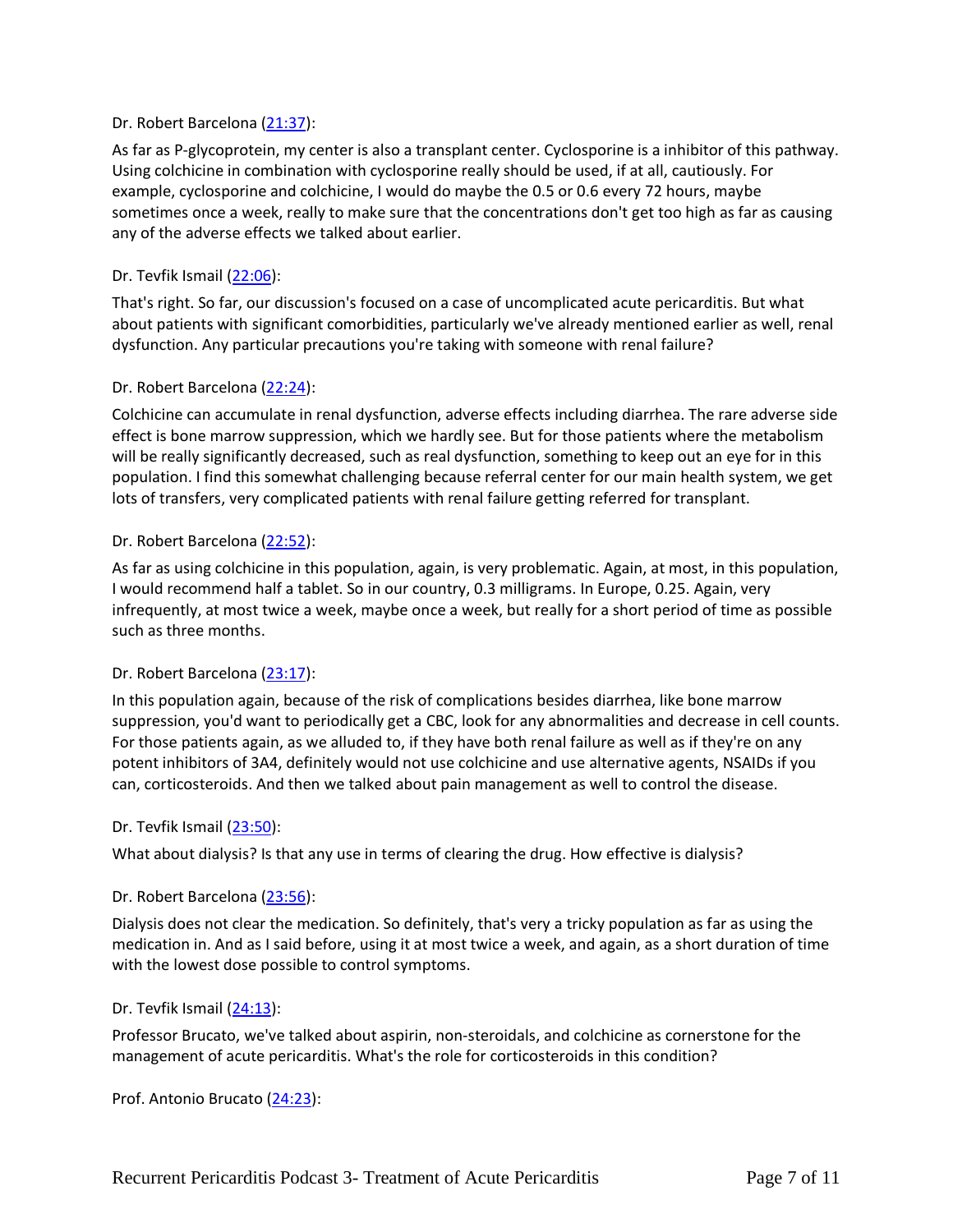## Dr. Robert Barcelona [\(21:37\)](https://www.rev.com/transcript-editor/Edit?token=MRw9_6qyCq222jZ5rOEsgl9BBxK9fc8QBV9cNsWEH3pzO8BDZuFb0-JO1tyeT2qYjhkIrjVDcQfcZXF3GWIlpGKj4IQ&loadFrom=DocumentDeeplink&ts=1297.27):

As far as P-glycoprotein, my center is also a transplant center. Cyclosporine is a inhibitor of this pathway. Using colchicine in combination with cyclosporine really should be used, if at all, cautiously. For example, cyclosporine and colchicine, I would do maybe the 0.5 or 0.6 every 72 hours, maybe sometimes once a week, really to make sure that the concentrations don't get too high as far as causing any of the adverse effects we talked about earlier.

#### Dr. Tevfik Ismail [\(22:06\)](https://www.rev.com/transcript-editor/Edit?token=l2ixIl7YsTVburidb8K-GEoJEUifwS8W111o6MKp3b3FbrTsDAIDBpRhw88ZF-XEyHENOMQ31i4zWM68WGGrLxrpVEQ&loadFrom=DocumentDeeplink&ts=1326.48):

That's right. So far, our discussion's focused on a case of uncomplicated acute pericarditis. But what about patients with significant comorbidities, particularly we've already mentioned earlier as well, renal dysfunction. Any particular precautions you're taking with someone with renal failure?

#### Dr. Robert Barcelona [\(22:24\)](https://www.rev.com/transcript-editor/Edit?token=3rQr2a8Yxw_k3T_CrfNE_wHcl3VKh_mdtbbcw2oDlMZ5Dm6xmXYuVFkrTFBbRBUXDE0o5DvejmmfsARXHiPWFIhPkgk&loadFrom=DocumentDeeplink&ts=1344.66):

Colchicine can accumulate in renal dysfunction, adverse effects including diarrhea. The rare adverse side effect is bone marrow suppression, which we hardly see. But for those patients where the metabolism will be really significantly decreased, such as real dysfunction, something to keep out an eye for in this population. I find this somewhat challenging because referral center for our main health system, we get lots of transfers, very complicated patients with renal failure getting referred for transplant.

#### Dr. Robert Barcelona [\(22:52\)](https://www.rev.com/transcript-editor/Edit?token=ckYoXKsuNvXqK7nYDskeEPiGF2LrJUCBtJTOzHvW775XSd48KENM-aYf4qgf6E8W3GpM5v1BSXwEB1yPq1ENzIVVKbI&loadFrom=DocumentDeeplink&ts=1372.24):

As far as using colchicine in this population, again, is very problematic. Again, at most, in this population, I would recommend half a tablet. So in our country, 0.3 milligrams. In Europe, 0.25. Again, very infrequently, at most twice a week, maybe once a week, but really for a short period of time as possible such as three months.

## Dr. Robert Barcelona [\(23:17\)](https://www.rev.com/transcript-editor/Edit?token=jtLvh-GpaoVCNvL8kvkpbWJRryHQzHLsJ5aSOWrcdeXnmkkE2PPrROFA8si_B_EMmP4DFqhNhsxsJds-cHhF3Z7UejA&loadFrom=DocumentDeeplink&ts=1397.31):

In this population again, because of the risk of complications besides diarrhea, like bone marrow suppression, you'd want to periodically get a CBC, look for any abnormalities and decrease in cell counts. For those patients again, as we alluded to, if they have both renal failure as well as if they're on any potent inhibitors of 3A4, definitely would not use colchicine and use alternative agents, NSAIDs if you can, corticosteroids. And then we talked about pain management as well to control the disease.

#### Dr. Tevfik Ismail [\(23:50\)](https://www.rev.com/transcript-editor/Edit?token=hbpuPXirY6zOAaJdVImSh6Sn1ihn0JeGJ2P7G3OjBLHNamB-fN9BlgXz7DO_a7JjndpmLORYEdVyNlhPpgLOFpeXxf8&loadFrom=DocumentDeeplink&ts=1430.03):

What about dialysis? Is that any use in terms of clearing the drug. How effective is dialysis?

#### Dr. Robert Barcelona [\(23:56\)](https://www.rev.com/transcript-editor/Edit?token=LWkw9CJp__pcKIwRf89w3X60XHVjAhTNElgDOC-xLYtzPem5pKIPrYFd7bZkzCjQWpy1wakHjxaEKAnC-U97wPN3ljQ&loadFrom=DocumentDeeplink&ts=1436.43):

Dialysis does not clear the medication. So definitely, that's very a tricky population as far as using the medication in. And as I said before, using it at most twice a week, and again, as a short duration of time with the lowest dose possible to control symptoms.

#### Dr. Tevfik Ismail [\(24:13\)](https://www.rev.com/transcript-editor/Edit?token=aBdMMIicWFwUlgkpMRwTxRyJj9caCzntdbU1hAXKH-lPDZ9xZq3LU5rl8PBDI7YSWkVLih4Cse2QG4eMM93cjiGk0aQ&loadFrom=DocumentDeeplink&ts=1453.04):

Professor Brucato, we've talked about aspirin, non-steroidals, and colchicine as cornerstone for the management of acute pericarditis. What's the role for corticosteroids in this condition?

Prof. Antonio Brucato [\(24:23\)](https://www.rev.com/transcript-editor/Edit?token=o9RqMWwT6T31b4RRAxzmCSqJBrAcSaUmEwos0eEsPVBiANTGqaV6CjeXe-gbPln-C6FtMTkGjdnvqp8_VTQrXDGWfIk&loadFrom=DocumentDeeplink&ts=1463.82):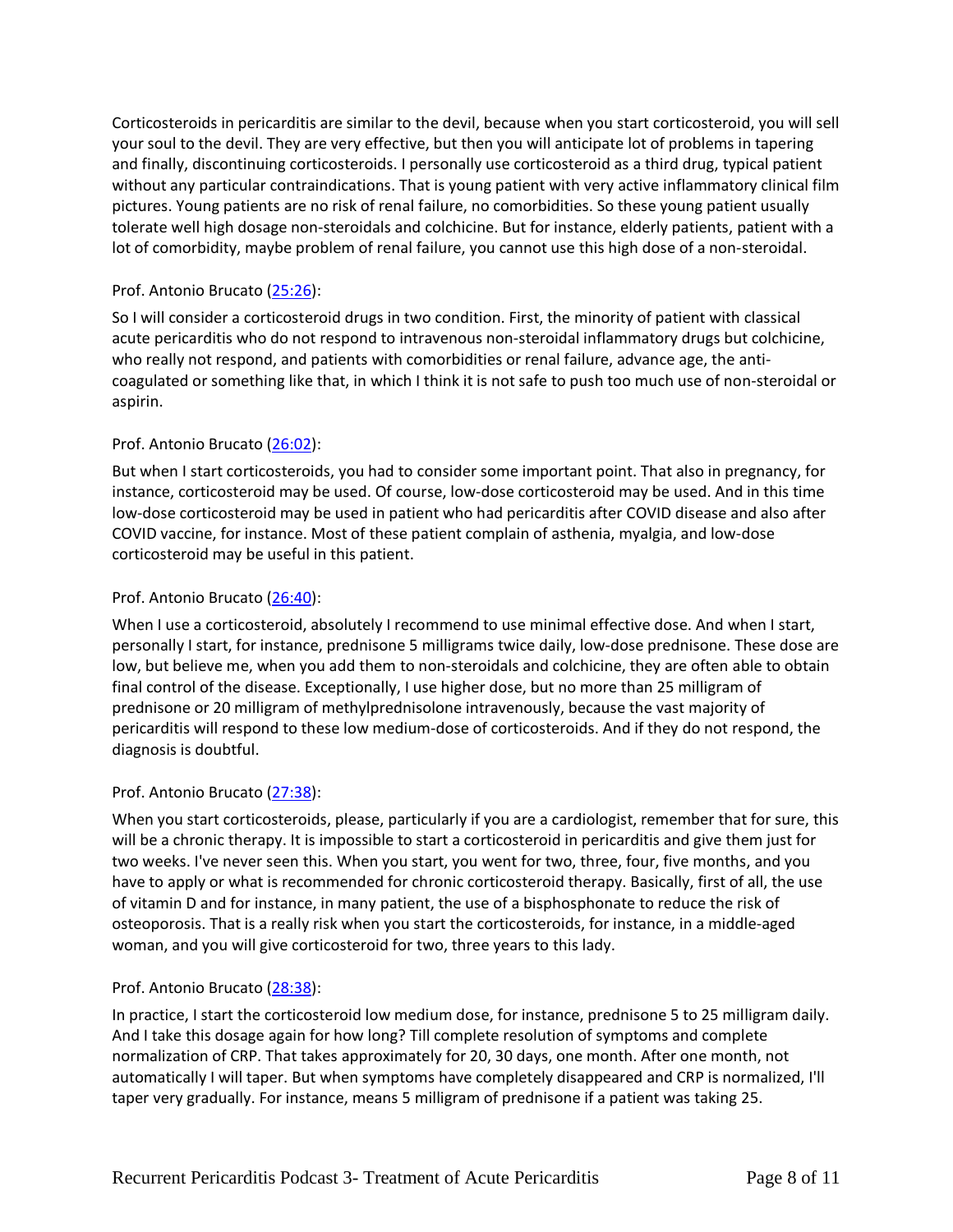Corticosteroids in pericarditis are similar to the devil, because when you start corticosteroid, you will sell your soul to the devil. They are very effective, but then you will anticipate lot of problems in tapering and finally, discontinuing corticosteroids. I personally use corticosteroid as a third drug, typical patient without any particular contraindications. That is young patient with very active inflammatory clinical film pictures. Young patients are no risk of renal failure, no comorbidities. So these young patient usually tolerate well high dosage non-steroidals and colchicine. But for instance, elderly patients, patient with a lot of comorbidity, maybe problem of renal failure, you cannot use this high dose of a non-steroidal.

# Prof. Antonio Brucato [\(25:26\)](https://www.rev.com/transcript-editor/Edit?token=9qdQztwwO7BBS0PIkoDcTa9bo8WDZFWPjMQH7g3EAnpBi7r23u9XOZxI4_zOH3TXx72svs1RwIkZvtyLE_jDRXbIqAQ&loadFrom=DocumentDeeplink&ts=1526.55):

So I will consider a corticosteroid drugs in two condition. First, the minority of patient with classical acute pericarditis who do not respond to intravenous non-steroidal inflammatory drugs but colchicine, who really not respond, and patients with comorbidities or renal failure, advance age, the anticoagulated or something like that, in which I think it is not safe to push too much use of non-steroidal or aspirin.

# Prof. Antonio Brucato [\(26:02\)](https://www.rev.com/transcript-editor/Edit?token=T290HWU8JbfA4Gl15nipke8FX5kQPdD2AK_DfpqYa3nhEmWYwC71w-OTwbk06KU1BOCOP94kPGd9XXG1Fse0OZt6p7o&loadFrom=DocumentDeeplink&ts=1562.59):

But when I start corticosteroids, you had to consider some important point. That also in pregnancy, for instance, corticosteroid may be used. Of course, low-dose corticosteroid may be used. And in this time low-dose corticosteroid may be used in patient who had pericarditis after COVID disease and also after COVID vaccine, for instance. Most of these patient complain of asthenia, myalgia, and low-dose corticosteroid may be useful in this patient.

## Prof. Antonio Brucato [\(26:40\)](https://www.rev.com/transcript-editor/Edit?token=wFWipRh6xM6yx8YB7xQ22MQKblW2A4gd8uQ_W-aYOOaWMX13icc6ClgdYv-yrHhazLNuowRb3Zh0FSRlk29B7bSwvks&loadFrom=DocumentDeeplink&ts=1600.19):

When I use a corticosteroid, absolutely I recommend to use minimal effective dose. And when I start, personally I start, for instance, prednisone 5 milligrams twice daily, low-dose prednisone. These dose are low, but believe me, when you add them to non-steroidals and colchicine, they are often able to obtain final control of the disease. Exceptionally, I use higher dose, but no more than 25 milligram of prednisone or 20 milligram of methylprednisolone intravenously, because the vast majority of pericarditis will respond to these low medium-dose of corticosteroids. And if they do not respond, the diagnosis is doubtful.

## Prof. Antonio Brucato [\(27:38\)](https://www.rev.com/transcript-editor/Edit?token=QV5f4dTLtvOKjUlnGsvSgtwkFrEc06O8VLuJ4DsMBnuC9MGeDlGoxTHNp4S2OUGK0JBaaxz049tOE2XvweC_K9hAFtE&loadFrom=DocumentDeeplink&ts=1658.92):

When you start corticosteroids, please, particularly if you are a cardiologist, remember that for sure, this will be a chronic therapy. It is impossible to start a corticosteroid in pericarditis and give them just for two weeks. I've never seen this. When you start, you went for two, three, four, five months, and you have to apply or what is recommended for chronic corticosteroid therapy. Basically, first of all, the use of vitamin D and for instance, in many patient, the use of a bisphosphonate to reduce the risk of osteoporosis. That is a really risk when you start the corticosteroids, for instance, in a middle-aged woman, and you will give corticosteroid for two, three years to this lady.

## Prof. Antonio Brucato [\(28:38\)](https://www.rev.com/transcript-editor/Edit?token=knHeVQvTT0y6vmxEZAWVALHnZVCUVHLPMa7tNAilNnpYBTyPHsACQSKyruCKQ6fenGEisxYB02mEWDcV8mdbjH-QI_w&loadFrom=DocumentDeeplink&ts=1718.43):

In practice, I start the corticosteroid low medium dose, for instance, prednisone 5 to 25 milligram daily. And I take this dosage again for how long? Till complete resolution of symptoms and complete normalization of CRP. That takes approximately for 20, 30 days, one month. After one month, not automatically I will taper. But when symptoms have completely disappeared and CRP is normalized, I'll taper very gradually. For instance, means 5 milligram of prednisone if a patient was taking 25.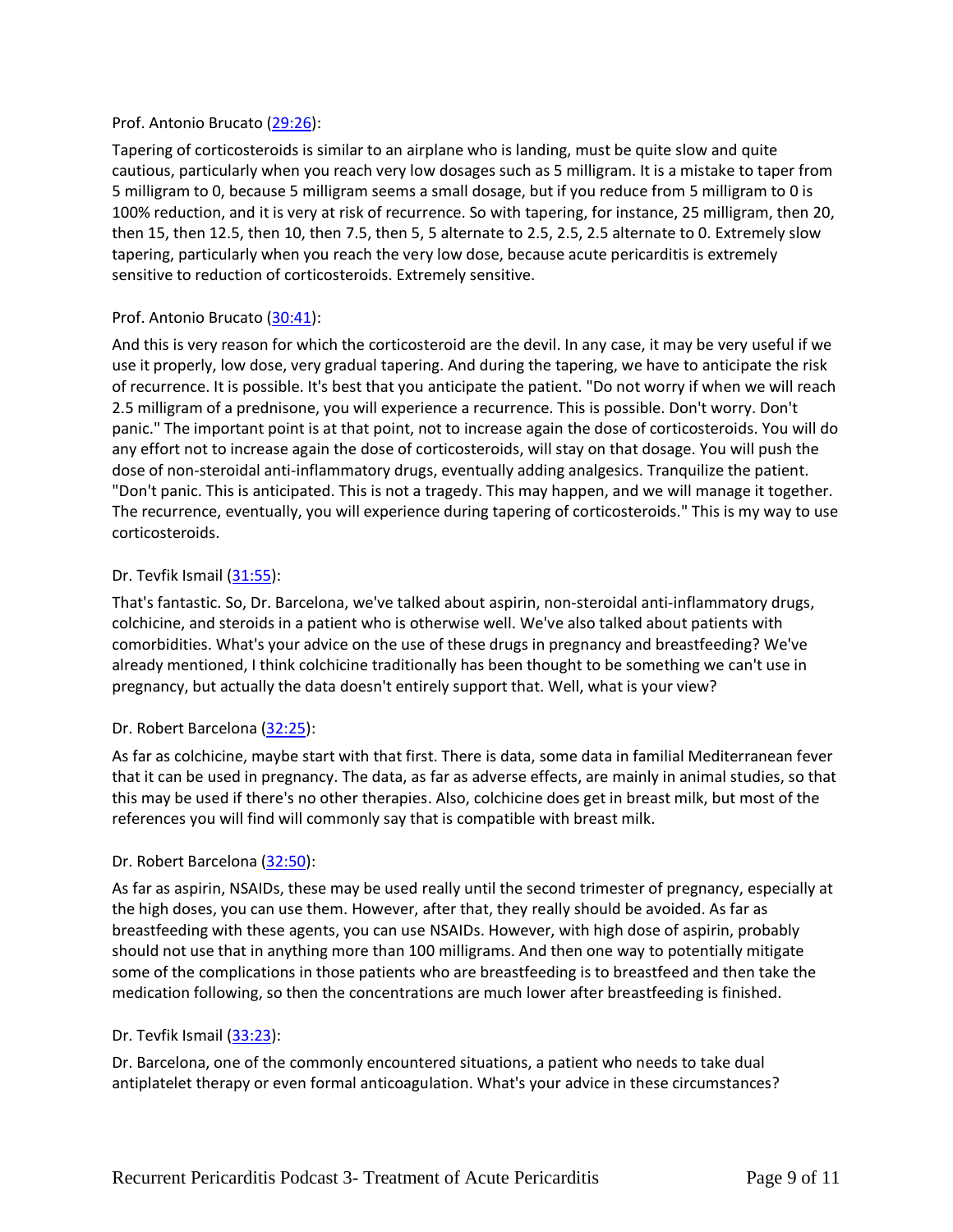## Prof. Antonio Brucato [\(29:26\)](https://www.rev.com/transcript-editor/Edit?token=ATeBMl_Kqqsyiisap9ZnT3F0qcV0z-s2JerKsBlX0WoMHgLN-NzNbGmUOrkBboGjtWhDP7HS4cZ-I3Ax1lmfF6Ikdi4&loadFrom=DocumentDeeplink&ts=1766.87):

Tapering of corticosteroids is similar to an airplane who is landing, must be quite slow and quite cautious, particularly when you reach very low dosages such as 5 milligram. It is a mistake to taper from 5 milligram to 0, because 5 milligram seems a small dosage, but if you reduce from 5 milligram to 0 is 100% reduction, and it is very at risk of recurrence. So with tapering, for instance, 25 milligram, then 20, then 15, then 12.5, then 10, then 7.5, then 5, 5 alternate to 2.5, 2.5, 2.5 alternate to 0. Extremely slow tapering, particularly when you reach the very low dose, because acute pericarditis is extremely sensitive to reduction of corticosteroids. Extremely sensitive.

## Prof. Antonio Brucato [\(30:41\)](https://www.rev.com/transcript-editor/Edit?token=XApE2y-hy95MXqxk0A303_Dc-1bFKjglDB7OEU1cUubFlZdSN7MbiLA7ot_13kUdvZJsxbVRIox2uUd0Mv0LQPPxUkA&loadFrom=DocumentDeeplink&ts=1841.72):

And this is very reason for which the corticosteroid are the devil. In any case, it may be very useful if we use it properly, low dose, very gradual tapering. And during the tapering, we have to anticipate the risk of recurrence. It is possible. It's best that you anticipate the patient. "Do not worry if when we will reach 2.5 milligram of a prednisone, you will experience a recurrence. This is possible. Don't worry. Don't panic." The important point is at that point, not to increase again the dose of corticosteroids. You will do any effort not to increase again the dose of corticosteroids, will stay on that dosage. You will push the dose of non-steroidal anti-inflammatory drugs, eventually adding analgesics. Tranquilize the patient. "Don't panic. This is anticipated. This is not a tragedy. This may happen, and we will manage it together. The recurrence, eventually, you will experience during tapering of corticosteroids." This is my way to use corticosteroids.

#### Dr. Tevfik Ismail [\(31:55\)](https://www.rev.com/transcript-editor/Edit?token=g6gj6PEwv9D7x-bp0YHl3MEyk8-yu0K1ZMfjiHroJUEdarWlOgNGM4C5GhlM6QSeN_PAq2nQSElY51mcd6uQ2WNSEzo&loadFrom=DocumentDeeplink&ts=1915.44):

That's fantastic. So, Dr. Barcelona, we've talked about aspirin, non-steroidal anti-inflammatory drugs, colchicine, and steroids in a patient who is otherwise well. We've also talked about patients with comorbidities. What's your advice on the use of these drugs in pregnancy and breastfeeding? We've already mentioned, I think colchicine traditionally has been thought to be something we can't use in pregnancy, but actually the data doesn't entirely support that. Well, what is your view?

#### Dr. Robert Barcelona [\(32:25\)](https://www.rev.com/transcript-editor/Edit?token=8dcFoYvr5wb85ZU0xu6I_B1lEJ50i1Fw9NdwDWSNgIaz5EWGp4sT35Xm8gnFDHniDfM-3B3osduSiRJcadNu_CDcbO4&loadFrom=DocumentDeeplink&ts=1945.39):

As far as colchicine, maybe start with that first. There is data, some data in familial Mediterranean fever that it can be used in pregnancy. The data, as far as adverse effects, are mainly in animal studies, so that this may be used if there's no other therapies. Also, colchicine does get in breast milk, but most of the references you will find will commonly say that is compatible with breast milk.

#### Dr. Robert Barcelona [\(32:50\)](https://www.rev.com/transcript-editor/Edit?token=R1GEJ6OIGVkT0j2bv8OogAjfHRBSBesQNU6Jr_NETouJdZOZG7kmL9_znwF3n0H9F9gTHH3Jb-6liWuiD_viAORuxI8&loadFrom=DocumentDeeplink&ts=1970.78):

As far as aspirin, NSAIDs, these may be used really until the second trimester of pregnancy, especially at the high doses, you can use them. However, after that, they really should be avoided. As far as breastfeeding with these agents, you can use NSAIDs. However, with high dose of aspirin, probably should not use that in anything more than 100 milligrams. And then one way to potentially mitigate some of the complications in those patients who are breastfeeding is to breastfeed and then take the medication following, so then the concentrations are much lower after breastfeeding is finished.

## Dr. Tevfik Ismail [\(33:23\)](https://www.rev.com/transcript-editor/Edit?token=QYroI_W0KlBw7pFgZa4PJRBPNMbdC4njD_3OK3w4pcOtNv6L9OAbFlCERZBx-iJvDoyUW1Ou5zoEdnKprjFjBjpl9xQ&loadFrom=DocumentDeeplink&ts=2003.83):

Dr. Barcelona, one of the commonly encountered situations, a patient who needs to take dual antiplatelet therapy or even formal anticoagulation. What's your advice in these circumstances?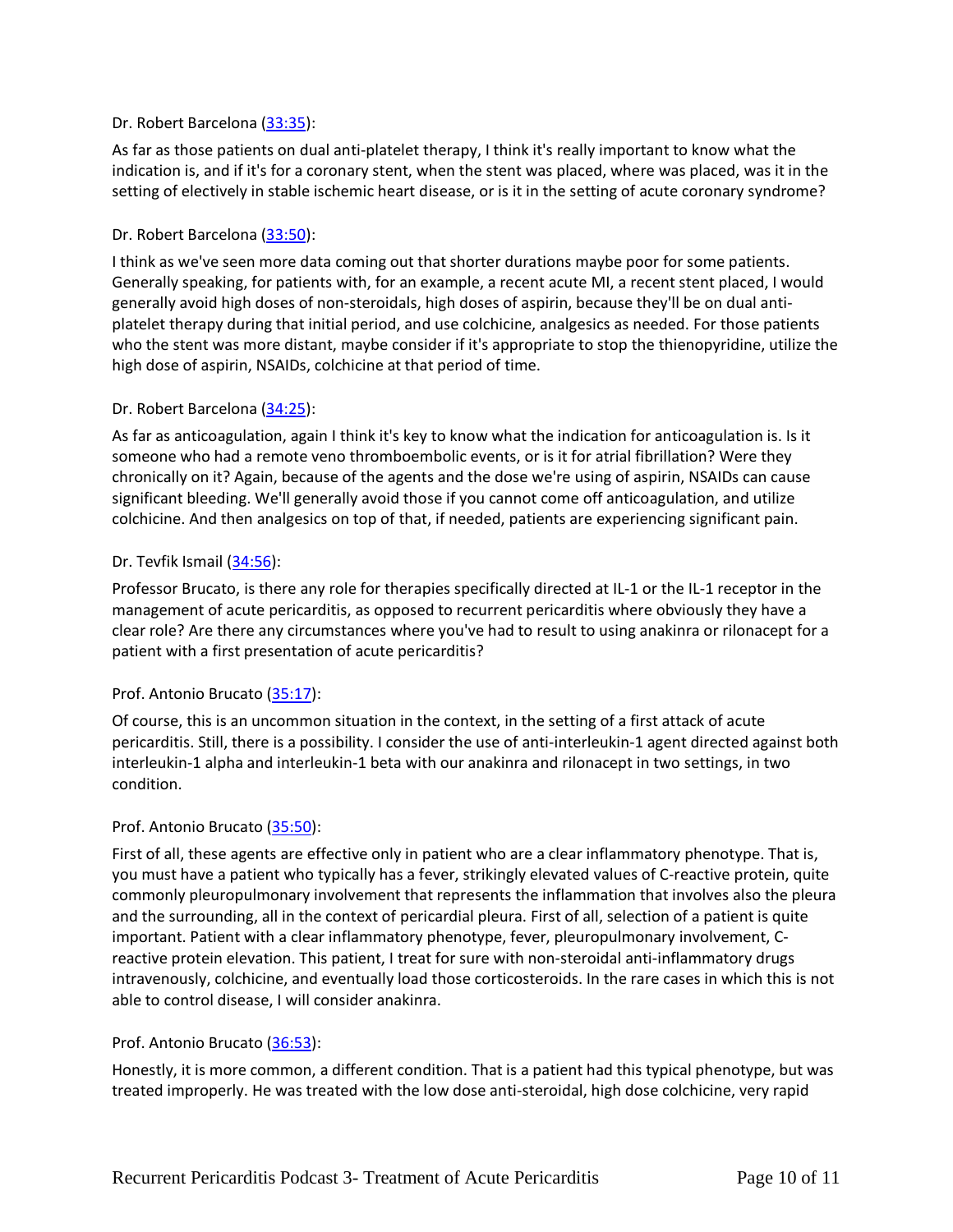## Dr. Robert Barcelona [\(33:35\)](https://www.rev.com/transcript-editor/Edit?token=TIfXYg94ZBu9QY69JJOG8QVsdao9_odei5vvvxh2gf6O7f_LX9vz6XWGj33Icnv1YRT4-w1Z7GtePmgH92T6wdiHetw&loadFrom=DocumentDeeplink&ts=2015.09):

As far as those patients on dual anti-platelet therapy, I think it's really important to know what the indication is, and if it's for a coronary stent, when the stent was placed, where was placed, was it in the setting of electively in stable ischemic heart disease, or is it in the setting of acute coronary syndrome?

#### Dr. Robert Barcelona [\(33:50\)](https://www.rev.com/transcript-editor/Edit?token=z6LwWW3F1m8LtmFbvxvyUxNTXxwE9mh6i_GYeVMehrs5a98WIH-_DgHde3pcACwCVIUpe0RsSZSW1CCwbK-PTmsSMkM&loadFrom=DocumentDeeplink&ts=2030.92):

I think as we've seen more data coming out that shorter durations maybe poor for some patients. Generally speaking, for patients with, for an example, a recent acute MI, a recent stent placed, I would generally avoid high doses of non-steroidals, high doses of aspirin, because they'll be on dual antiplatelet therapy during that initial period, and use colchicine, analgesics as needed. For those patients who the stent was more distant, maybe consider if it's appropriate to stop the thienopyridine, utilize the high dose of aspirin, NSAIDs, colchicine at that period of time.

#### Dr. Robert Barcelona [\(34:25\)](https://www.rev.com/transcript-editor/Edit?token=Ngs18Pxt0FGHOh9A7S7K-UoAh7vVzO51mN4X41G7SQAhMs8F5PDI1dfnacObyXZR0e8ayzK_rIOPPzjIU14972RdPFQ&loadFrom=DocumentDeeplink&ts=2065.97):

As far as anticoagulation, again I think it's key to know what the indication for anticoagulation is. Is it someone who had a remote veno thromboembolic events, or is it for atrial fibrillation? Were they chronically on it? Again, because of the agents and the dose we're using of aspirin, NSAIDs can cause significant bleeding. We'll generally avoid those if you cannot come off anticoagulation, and utilize colchicine. And then analgesics on top of that, if needed, patients are experiencing significant pain.

#### Dr. Tevfik Ismail [\(34:56\)](https://www.rev.com/transcript-editor/Edit?token=ezT_mxjdFPveWKTaC7DoASdq6TRiFhjsYRp0KoPGepS3DfOjbccQDYo4pRaYV1YgEEfMt63dyB_HFDqbSwywJyd4RP8&loadFrom=DocumentDeeplink&ts=2096.24):

Professor Brucato, is there any role for therapies specifically directed at IL-1 or the IL-1 receptor in the management of acute pericarditis, as opposed to recurrent pericarditis where obviously they have a clear role? Are there any circumstances where you've had to result to using anakinra or rilonacept for a patient with a first presentation of acute pericarditis?

## Prof. Antonio Brucato [\(35:17\)](https://www.rev.com/transcript-editor/Edit?token=w7_1rl8X_MBEadlElth7M1ok6wu6k5wy_T-eu5ZxusB4J4FpehLKspE3dYTLwdxJyHrJmffKAL1D7XTuWZnwgp_syw8&loadFrom=DocumentDeeplink&ts=2117.25):

Of course, this is an uncommon situation in the context, in the setting of a first attack of acute pericarditis. Still, there is a possibility. I consider the use of anti-interleukin-1 agent directed against both interleukin-1 alpha and interleukin-1 beta with our anakinra and rilonacept in two settings, in two condition.

#### Prof. Antonio Brucato [\(35:50\)](https://www.rev.com/transcript-editor/Edit?token=OjF6nbhb4AhPYSM91FyYlLmJAHc4kX7ELeD9fYnzHTTlmG99IEdYlyGXd_QbWSzTdpXevLlYSRHeb-xJVDdYIUd_E9E&loadFrom=DocumentDeeplink&ts=2150.24):

First of all, these agents are effective only in patient who are a clear inflammatory phenotype. That is, you must have a patient who typically has a fever, strikingly elevated values of C-reactive protein, quite commonly pleuropulmonary involvement that represents the inflammation that involves also the pleura and the surrounding, all in the context of pericardial pleura. First of all, selection of a patient is quite important. Patient with a clear inflammatory phenotype, fever, pleuropulmonary involvement, Creactive protein elevation. This patient, I treat for sure with non-steroidal anti-inflammatory drugs intravenously, colchicine, and eventually load those corticosteroids. In the rare cases in which this is not able to control disease, I will consider anakinra.

#### Prof. Antonio Brucato [\(36:53\)](https://www.rev.com/transcript-editor/Edit?token=qxYvwcJbMQAJ2simkvQGtI9uct8GnHMVEcHYPTB3rEXAmD2iAdXcv90F-B8jksw2A0V8cPn5dPgcdlviFP7g84_FEGU&loadFrom=DocumentDeeplink&ts=2213.68):

Honestly, it is more common, a different condition. That is a patient had this typical phenotype, but was treated improperly. He was treated with the low dose anti-steroidal, high dose colchicine, very rapid